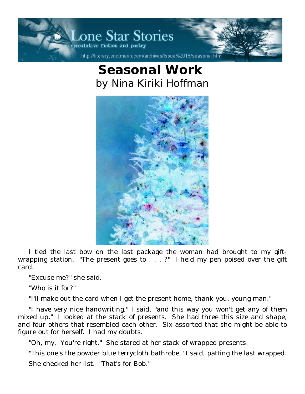

## **Seasonal Work**  *by Nina Kiriki Hoffman*



I tied the last bow on the last package the woman had brought to my giftwrapping station. "The present goes to . . . ?" I held my pen poised over the gift card.

"Excuse me?" she said.

"Who is it for?"

"I'll make out the card when I get the present home, thank you, young man."

"I have very nice handwriting," I said, "and this way you won't get any of them mixed up." I looked at the stack of presents. She had three this size and shape, and four others that resembled each other. Six assorted that she might be able to figure out for herself. I had my doubts.

"Oh, my. You're right." She stared at her stack of wrapped presents.

"This one's the powder blue terrycloth bathrobe," I said, patting the last wrapped.

She checked her list. "That's for Bob."